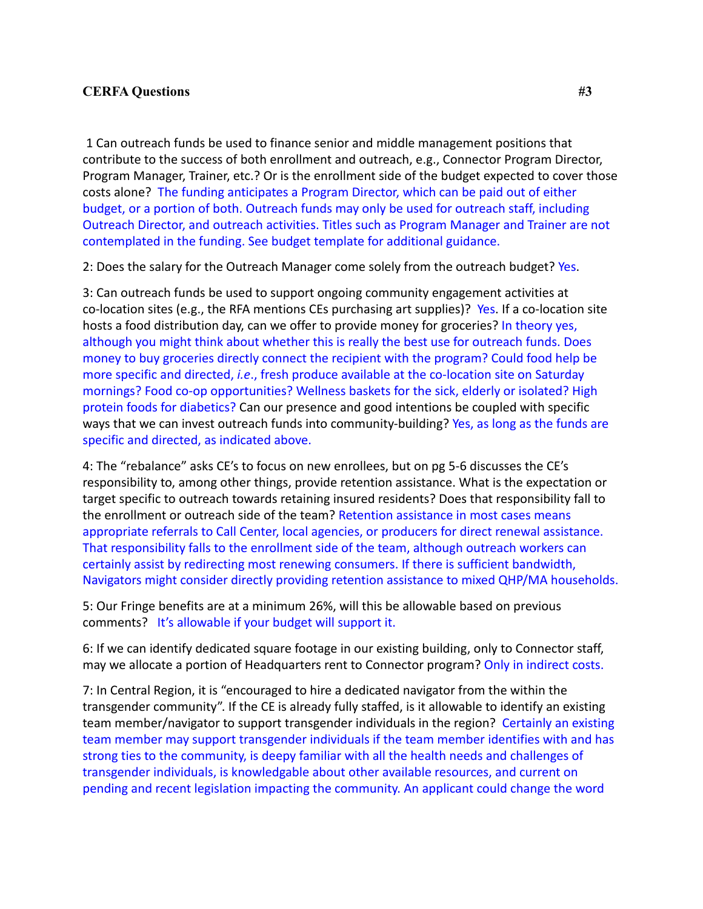## **CERFA Questions #3**

1 Can outreach funds be used to finance senior and middle management positions that contribute to the success of both enrollment and outreach, e.g., Connector Program Director, Program Manager, Trainer, etc.? Or is the enrollment side of the budget expected to cover those costs alone? The funding anticipates a Program Director, which can be paid out of either budget, or a portion of both. Outreach funds may only be used for outreach staff, including Outreach Director, and outreach activities. Titles such as Program Manager and Trainer are not contemplated in the funding. See budget template for additional guidance.

2: Does the salary for the Outreach Manager come solely from the outreach budget? Yes.

3: Can outreach funds be used to support ongoing community engagement activities at co-location sites (e.g., the RFA mentions CEs purchasing art supplies)? Yes. If a co-location site hosts a food distribution day, can we offer to provide money for groceries? In theory yes, although you might think about whether this is really the best use for outreach funds. Does money to buy groceries directly connect the recipient with the program? Could food help be more specific and directed, *i.e*., fresh produce available at the co-location site on Saturday mornings? Food co-op opportunities? Wellness baskets for the sick, elderly or isolated? High protein foods for diabetics? Can our presence and good intentions be coupled with specific ways that we can invest outreach funds into community-building? Yes, as long as the funds are specific and directed, as indicated above.

4: The "rebalance" asks CE's to focus on new enrollees, but on pg 5-6 discusses the CE's responsibility to, among other things, provide retention assistance. What is the expectation or target specific to outreach towards retaining insured residents? Does that responsibility fall to the enrollment or outreach side of the team? Retention assistance in most cases means appropriate referrals to Call Center, local agencies, or producers for direct renewal assistance. That responsibility falls to the enrollment side of the team, although outreach workers can certainly assist by redirecting most renewing consumers. If there is sufficient bandwidth, Navigators might consider directly providing retention assistance to mixed QHP/MA households.

5: Our Fringe benefits are at a minimum 26%, will this be allowable based on previous comments? It's allowable if your budget will support it.

6: If we can identify dedicated square footage in our existing building, only to Connector staff, may we allocate a portion of Headquarters rent to Connector program? Only in indirect costs.

7: In Central Region, it is "encouraged to hire a dedicated navigator from the within the transgender community". If the CE is already fully staffed, is it allowable to identify an existing team member/navigator to support transgender individuals in the region? Certainly an existing team member may support transgender individuals if the team member identifies with and has strong ties to the community, is deepy familiar with all the health needs and challenges of transgender individuals, is knowledgable about other available resources, and current on pending and recent legislation impacting the community. An applicant could change the word